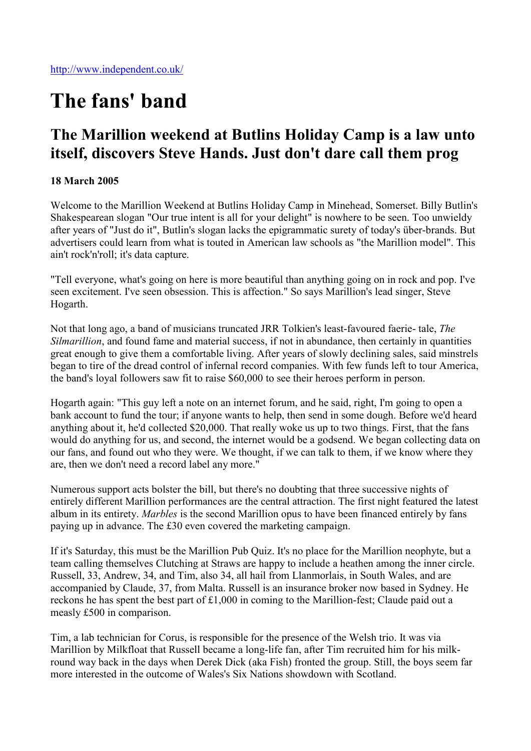## The fans' band

## The Marillion weekend at Butlins Holiday Camp is a law unto itself, discovers Steve Hands. Just don't dare call them prog

## 18 March 2005

Welcome to the Marillion Weekend at Butlins Holiday Camp in Minehead, Somerset. Billy Butlin's Shakespearean slogan "Our true intent is all for your delight" is nowhere to be seen. Too unwieldy after years of "Just do it", Butlin's slogan lacks the epigrammatic surety of today's über-brands. But advertisers could learn from what is touted in American law schools as "the Marillion model". This ain't rock'n'roll; it's data capture.

"Tell everyone, what's going on here is more beautiful than anything going on in rock and pop. I've seen excitement. I've seen obsession. This is affection." So says Marillion's lead singer, Steve Hogarth.

Not that long ago, a band of musicians truncated JRR Tolkien's least-favoured faerie- tale, *The Silmarillion*, and found fame and material success, if not in abundance, then certainly in quantities great enough to give them a comfortable living. After years of slowly declining sales, said minstrels began to tire of the dread control of infernal record companies. With few funds left to tour America, the band's loyal followers saw fit to raise \$60,000 to see their heroes perform in person.

Hogarth again: "This guy left a note on an internet forum, and he said, right, I'm going to open a bank account to fund the tour; if anyone wants to help, then send in some dough. Before we'd heard anything about it, he'd collected \$20,000. That really woke us up to two things. First, that the fans would do anything for us, and second, the internet would be a godsend. We began collecting data on our fans, and found out who they were. We thought, if we can talk to them, if we know where they are, then we don't need a record label any more."

Numerous support acts bolster the bill, but there's no doubting that three successive nights of entirely different Marillion performances are the central attraction. The first night featured the latest album in its entirety. *Marbles* is the second Marillion opus to have been financed entirely by fans paying up in advance. The £30 even covered the marketing campaign.

If it's Saturday, this must be the Marillion Pub Quiz. It's no place for the Marillion neophyte, but a team calling themselves Clutching at Straws are happy to include a heathen among the inner circle. Russell, 33, Andrew, 34, and Tim, also 34, all hail from Llanmorlais, in South Wales, and are accompanied by Claude, 37, from Malta. Russell is an insurance broker now based in Sydney. He reckons he has spent the best part of £1,000 in coming to the Marillion-fest; Claude paid out a measly £500 in comparison.

Tim, a lab technician for Corus, is responsible for the presence of the Welsh trio. It was via Marillion by Milkfloat that Russell became a long-life fan, after Tim recruited him for his milkround way back in the days when Derek Dick (aka Fish) fronted the group. Still, the boys seem far more interested in the outcome of Wales's Six Nations showdown with Scotland.